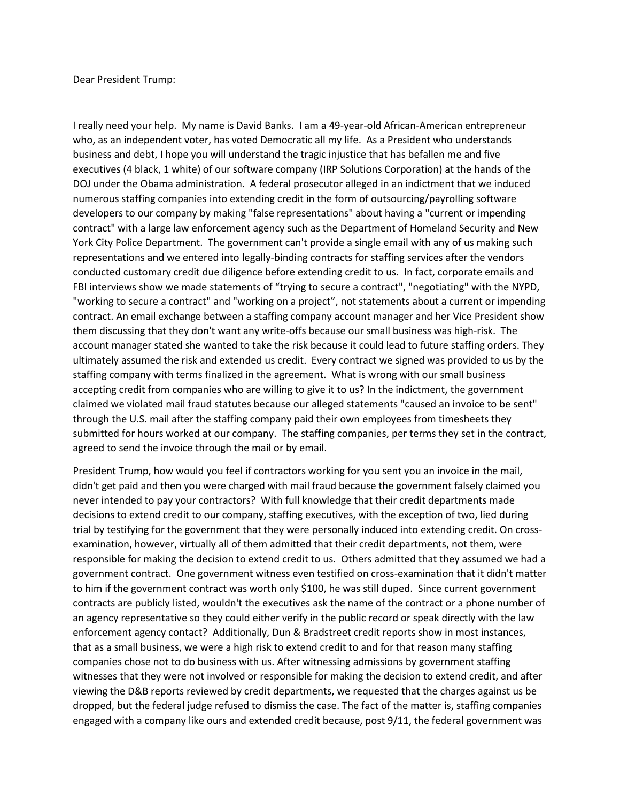## Dear President Trump:

I really need your help. My name is David Banks. I am a 49-year-old African-American entrepreneur who, as an independent voter, has voted Democratic all my life. As a President who understands business and debt, I hope you will understand the tragic injustice that has befallen me and five executives (4 black, 1 white) of our software company (IRP Solutions Corporation) at the hands of the DOJ under the Obama administration. A federal prosecutor alleged in an indictment that we induced numerous staffing companies into extending credit in the form of outsourcing/payrolling software developers to our company by making "false representations" about having a "current or impending contract" with a large law enforcement agency such as the Department of Homeland Security and New York City Police Department. The government can't provide a single email with any of us making such representations and we entered into legally-binding contracts for staffing services after the vendors conducted customary credit due diligence before extending credit to us. In fact, corporate emails and FBI interviews show we made statements of "trying to secure a contract", "negotiating" with the NYPD, "working to secure a contract" and "working on a project", not statements about a current or impending contract. An email exchange between a staffing company account manager and her Vice President show them discussing that they don't want any write-offs because our small business was high-risk. The account manager stated she wanted to take the risk because it could lead to future staffing orders. They ultimately assumed the risk and extended us credit. Every contract we signed was provided to us by the staffing company with terms finalized in the agreement. What is wrong with our small business accepting credit from companies who are willing to give it to us? In the indictment, the government claimed we violated mail fraud statutes because our alleged statements "caused an invoice to be sent" through the U.S. mail after the staffing company paid their own employees from timesheets they submitted for hours worked at our company. The staffing companies, per terms they set in the contract, agreed to send the invoice through the mail or by email.

President Trump, how would you feel if contractors working for you sent you an invoice in the mail, didn't get paid and then you were charged with mail fraud because the government falsely claimed you never intended to pay your contractors? With full knowledge that their credit departments made decisions to extend credit to our company, staffing executives, with the exception of two, lied during trial by testifying for the government that they were personally induced into extending credit. On crossexamination, however, virtually all of them admitted that their credit departments, not them, were responsible for making the decision to extend credit to us. Others admitted that they assumed we had a government contract. One government witness even testified on cross-examination that it didn't matter to him if the government contract was worth only \$100, he was still duped. Since current government contracts are publicly listed, wouldn't the executives ask the name of the contract or a phone number of an agency representative so they could either verify in the public record or speak directly with the law enforcement agency contact? Additionally, Dun & Bradstreet credit reports show in most instances, that as a small business, we were a high risk to extend credit to and for that reason many staffing companies chose not to do business with us. After witnessing admissions by government staffing witnesses that they were not involved or responsible for making the decision to extend credit, and after viewing the D&B reports reviewed by credit departments, we requested that the charges against us be dropped, but the federal judge refused to dismiss the case. The fact of the matter is, staffing companies engaged with a company like ours and extended credit because, post 9/11, the federal government was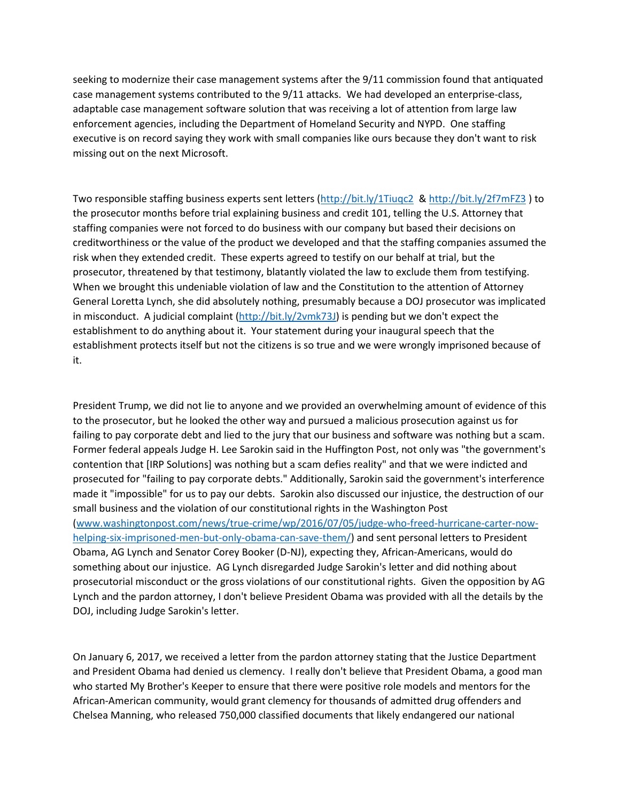seeking to modernize their case management systems after the 9/11 commission found that antiquated case management systems contributed to the 9/11 attacks. We had developed an enterprise-class, adaptable case management software solution that was receiving a lot of attention from large law enforcement agencies, including the Department of Homeland Security and NYPD. One staffing executive is on record saying they work with small companies like ours because they don't want to risk missing out on the next Microsoft.

Two responsible staffing business experts sent letters [\(http://bit.ly/1Tiuqc2](http://bit.ly/1Tiuqc2) [& http://bit.ly/2f7mFZ3](http://bit.ly/2f7mFZ3) ) to the prosecutor months before trial explaining business and credit 101, telling the U.S. Attorney that staffing companies were not forced to do business with our company but based their decisions on creditworthiness or the value of the product we developed and that the staffing companies assumed the risk when they extended credit. These experts agreed to testify on our behalf at trial, but the prosecutor, threatened by that testimony, blatantly violated the law to exclude them from testifying. When we brought this undeniable violation of law and the Constitution to the attention of Attorney General Loretta Lynch, she did absolutely nothing, presumably because a DOJ prosecutor was implicated in misconduct. A judicial complaint [\(http://bit.ly/2vmk73J\)](http://bit.ly/2vmk73J) is pending but we don't expect the establishment to do anything about it. Your statement during your inaugural speech that the establishment protects itself but not the citizens is so true and we were wrongly imprisoned because of it.

President Trump, we did not lie to anyone and we provided an overwhelming amount of evidence of this to the prosecutor, but he looked the other way and pursued a malicious prosecution against us for failing to pay corporate debt and lied to the jury that our business and software was nothing but a scam. Former federal appeals Judge H. Lee Sarokin said in the Huffington Post, not only was "the government's contention that [IRP Solutions] was nothing but a scam defies reality" and that we were indicted and prosecuted for "failing to pay corporate debts." Additionally, Sarokin said the government's interference made it "impossible" for us to pay our debts. Sarokin also discussed our injustice, the destruction of our small business and the violation of our constitutional rights in the Washington Post [\(www.washingtonpost.com/news/true-crime/wp/2016/07/05/judge-who-freed-hurricane-carter-now](http://www.washingtonpost.com/news/true-crime/wp/2016/07/05/judge-who-freed-hurricane-carter-now-helping-six-imprisoned-men-but-only-obama-can-save-them/)[helping-six-imprisoned-men-but-only-obama-can-save-them/\)](http://www.washingtonpost.com/news/true-crime/wp/2016/07/05/judge-who-freed-hurricane-carter-now-helping-six-imprisoned-men-but-only-obama-can-save-them/) and sent personal letters to President Obama, AG Lynch and Senator Corey Booker (D-NJ), expecting they, African-Americans, would do something about our injustice. AG Lynch disregarded Judge Sarokin's letter and did nothing about prosecutorial misconduct or the gross violations of our constitutional rights. Given the opposition by AG Lynch and the pardon attorney, I don't believe President Obama was provided with all the details by the DOJ, including Judge Sarokin's letter.

On January 6, 2017, we received a letter from the pardon attorney stating that the Justice Department and President Obama had denied us clemency. I really don't believe that President Obama, a good man who started My Brother's Keeper to ensure that there were positive role models and mentors for the African-American community, would grant clemency for thousands of admitted drug offenders and Chelsea Manning, who released 750,000 classified documents that likely endangered our national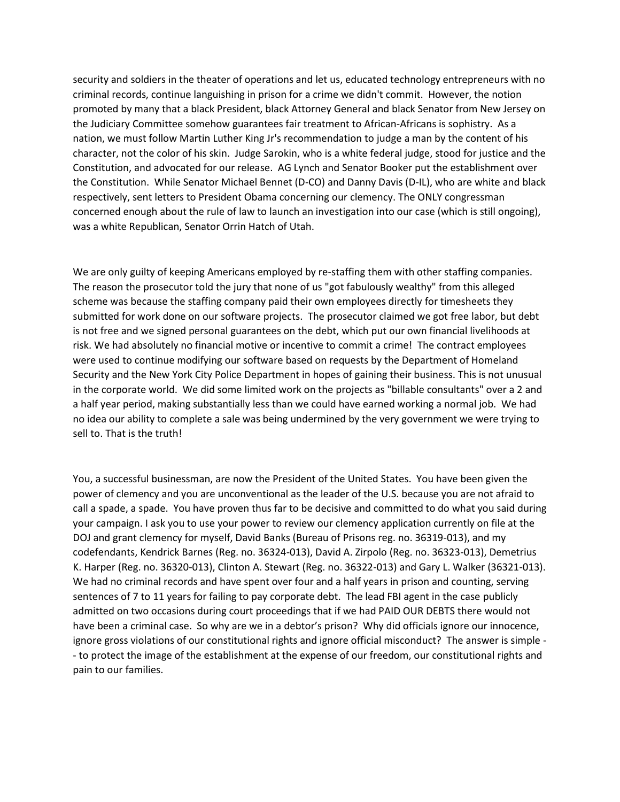security and soldiers in the theater of operations and let us, educated technology entrepreneurs with no criminal records, continue languishing in prison for a crime we didn't commit. However, the notion promoted by many that a black President, black Attorney General and black Senator from New Jersey on the Judiciary Committee somehow guarantees fair treatment to African-Africans is sophistry. As a nation, we must follow Martin Luther King Jr's recommendation to judge a man by the content of his character, not the color of his skin. Judge Sarokin, who is a white federal judge, stood for justice and the Constitution, and advocated for our release. AG Lynch and Senator Booker put the establishment over the Constitution. While Senator Michael Bennet (D-CO) and Danny Davis (D-IL), who are white and black respectively, sent letters to President Obama concerning our clemency. The ONLY congressman concerned enough about the rule of law to launch an investigation into our case (which is still ongoing), was a white Republican, Senator Orrin Hatch of Utah.

We are only guilty of keeping Americans employed by re-staffing them with other staffing companies. The reason the prosecutor told the jury that none of us "got fabulously wealthy" from this alleged scheme was because the staffing company paid their own employees directly for timesheets they submitted for work done on our software projects. The prosecutor claimed we got free labor, but debt is not free and we signed personal guarantees on the debt, which put our own financial livelihoods at risk. We had absolutely no financial motive or incentive to commit a crime! The contract employees were used to continue modifying our software based on requests by the Department of Homeland Security and the New York City Police Department in hopes of gaining their business. This is not unusual in the corporate world. We did some limited work on the projects as "billable consultants" over a 2 and a half year period, making substantially less than we could have earned working a normal job. We had no idea our ability to complete a sale was being undermined by the very government we were trying to sell to. That is the truth!

You, a successful businessman, are now the President of the United States. You have been given the power of clemency and you are unconventional as the leader of the U.S. because you are not afraid to call a spade, a spade. You have proven thus far to be decisive and committed to do what you said during your campaign. I ask you to use your power to review our clemency application currently on file at the DOJ and grant clemency for myself, David Banks (Bureau of Prisons reg. no. 36319-013), and my codefendants, Kendrick Barnes (Reg. no. 36324-013), David A. Zirpolo (Reg. no. 36323-013), Demetrius K. Harper (Reg. no. 36320-013), Clinton A. Stewart (Reg. no. 36322-013) and Gary L. Walker (36321-013). We had no criminal records and have spent over four and a half years in prison and counting, serving sentences of 7 to 11 years for failing to pay corporate debt. The lead FBI agent in the case publicly admitted on two occasions during court proceedings that if we had PAID OUR DEBTS there would not have been a criminal case. So why are we in a debtor's prison? Why did officials ignore our innocence, ignore gross violations of our constitutional rights and ignore official misconduct? The answer is simple - - to protect the image of the establishment at the expense of our freedom, our constitutional rights and pain to our families.